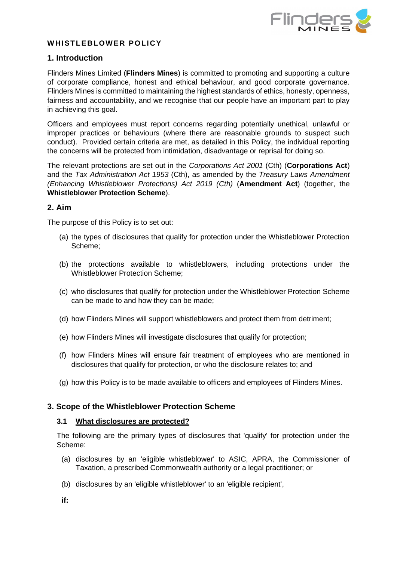

# WHISTLEBLOWER POLICY

### **1. Introduction**

Flinders Mines Limited (**Flinders Mines**) is committed to promoting and supporting a culture of corporate compliance, honest and ethical behaviour, and good corporate governance. Flinders Mines is committed to maintaining the highest standards of ethics, honesty, openness, fairness and accountability, and we recognise that our people have an important part to play in achieving this goal.

Officers and employees must report concerns regarding potentially unethical, unlawful or improper practices or behaviours (where there are reasonable grounds to suspect such conduct). Provided certain criteria are met, as detailed in this Policy, the individual reporting the concerns will be protected from intimidation, disadvantage or reprisal for doing so.

The relevant protections are set out in the *Corporations Act 2001* (Cth) (**Corporations Act**) and the *Tax Administration Act 1953* (Cth), as amended by the *Treasury Laws Amendment (Enhancing Whistleblower Protections) Act 2019 (Cth)* (**Amendment Act**) (together, the **Whistleblower Protection Scheme**).

### **2. Aim**

The purpose of this Policy is to set out:

- (a) the types of disclosures that qualify for protection under the Whistleblower Protection Scheme;
- (b) the protections available to whistleblowers, including protections under the Whistleblower Protection Scheme;
- (c) who disclosures that qualify for protection under the Whistleblower Protection Scheme can be made to and how they can be made;
- (d) how Flinders Mines will support whistleblowers and protect them from detriment;
- (e) how Flinders Mines will investigate disclosures that qualify for protection;
- (f) how Flinders Mines will ensure fair treatment of employees who are mentioned in disclosures that qualify for protection, or who the disclosure relates to; and
- (g) how this Policy is to be made available to officers and employees of Flinders Mines.

### **3. Scope of the Whistleblower Protection Scheme**

### **3.1 What disclosures are protected?**

The following are the primary types of disclosures that 'qualify' for protection under the Scheme:

- (a) disclosures by an 'eligible whistleblower' to ASIC, APRA, the Commissioner of Taxation, a prescribed Commonwealth authority or a legal practitioner; or
- (b) disclosures by an 'eligible whistleblower' to an 'eligible recipient',

**if:**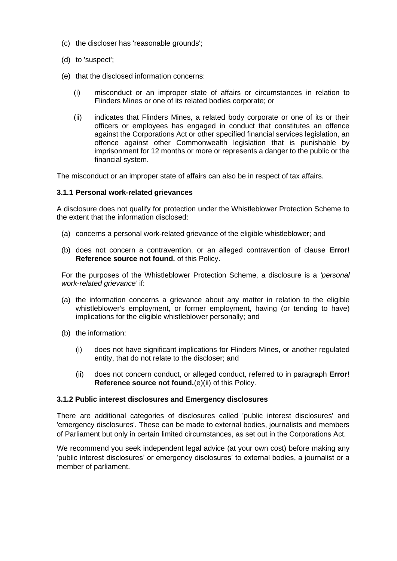- (c) the discloser has 'reasonable grounds';
- (d) to 'suspect';
- <span id="page-1-0"></span>(e) that the disclosed information concerns:
	- (i) misconduct or an improper state of affairs or circumstances in relation to Flinders Mines or one of its related bodies corporate; or
	- (ii) indicates that Flinders Mines, a related body corporate or one of its or their officers or employees has engaged in conduct that constitutes an offence against the Corporations Act or other specified financial services legislation, an offence against other Commonwealth legislation that is punishable by imprisonment for 12 months or more or represents a danger to the public or the financial system.

The misconduct or an improper state of affairs can also be in respect of tax affairs.

#### **3.1.1 Personal work-related grievances**

A disclosure does not qualify for protection under the Whistleblower Protection Scheme to the extent that the information disclosed:

- (a) concerns a personal work-related grievance of the eligible whistleblower; and
- (b) does not concern a contravention, or an alleged contravention of clause **Error! Reference source not found.** of this Policy.

For the purposes of the Whistleblower Protection Scheme, a disclosure is a *'personal work-related grievance'* if:

- (a) the information concerns a grievance about any matter in relation to the eligible whistleblower's employment, or former employment, having (or tending to have) implications for the eligible whistleblower personally; and
- (b) the information:
	- (i) does not have significant implications for Flinders Mines, or another regulated entity, that do not relate to the discloser; and
	- (ii) does not concern conduct, or alleged conduct, referred to in paragraph **Error! Reference source not found.**[\(e\)\(ii\)](#page-1-0) of this Policy.

#### **3.1.2 Public interest disclosures and Emergency disclosures**

There are additional categories of disclosures called 'public interest disclosures' and 'emergency disclosures'. These can be made to external bodies, journalists and members of Parliament but only in certain limited circumstances, as set out in the Corporations Act.

We recommend you seek independent legal advice (at your own cost) before making any 'public interest disclosures' or emergency disclosures' to external bodies, a journalist or a member of parliament.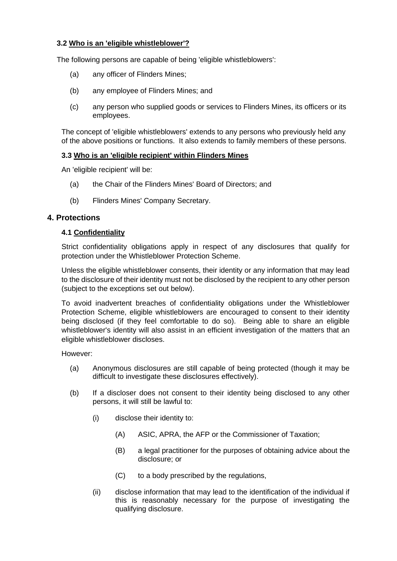# **3.2 Who is an 'eligible whistleblower'?**

The following persons are capable of being 'eligible whistleblowers':

- (a) any officer of Flinders Mines;
- (b) any employee of Flinders Mines; and
- (c) any person who supplied goods or services to Flinders Mines, its officers or its employees.

The concept of 'eligible whistleblowers' extends to any persons who previously held any of the above positions or functions. It also extends to family members of these persons.

#### **3.3 Who is an 'eligible recipient' within Flinders Mines**

An 'eligible recipient' will be:

- (a) the Chair of the Flinders Mines' Board of Directors; and
- (b) Flinders Mines' Company Secretary.

#### **4. Protections**

#### **4.1 Confidentiality**

Strict confidentiality obligations apply in respect of any disclosures that qualify for protection under the Whistleblower Protection Scheme.

Unless the eligible whistleblower consents, their identity or any information that may lead to the disclosure of their identity must not be disclosed by the recipient to any other person (subject to the exceptions set out below).

To avoid inadvertent breaches of confidentiality obligations under the Whistleblower Protection Scheme, eligible whistleblowers are encouraged to consent to their identity being disclosed (if they feel comfortable to do so). Being able to share an eligible whistleblower's identity will also assist in an efficient investigation of the matters that an eligible whistleblower discloses.

However:

- (a) Anonymous disclosures are still capable of being protected (though it may be difficult to investigate these disclosures effectively).
- (b) If a discloser does not consent to their identity being disclosed to any other persons, it will still be lawful to:
	- (i) disclose their identity to:
		- (A) ASIC, APRA, the AFP or the Commissioner of Taxation;
		- (B) a legal practitioner for the purposes of obtaining advice about the disclosure; or
		- (C) to a body prescribed by the regulations,
	- (ii) disclose information that may lead to the identification of the individual if this is reasonably necessary for the purpose of investigating the qualifying disclosure.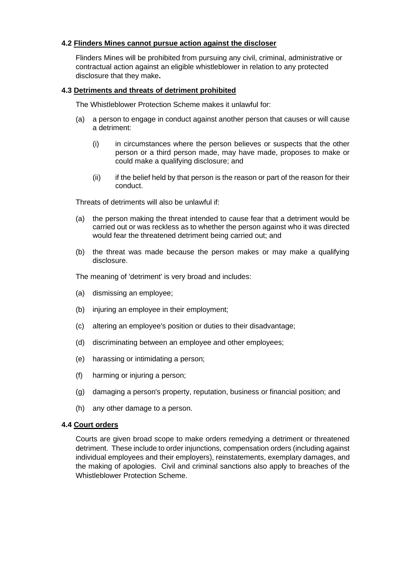## **4.2 Flinders Mines cannot pursue action against the discloser**

Flinders Mines will be prohibited from pursuing any civil, criminal, administrative or contractual action against an eligible whistleblower in relation to any protected disclosure that they make**.** 

### **4.3 Detriments and threats of detriment prohibited**

The Whistleblower Protection Scheme makes it unlawful for:

- (a) a person to engage in conduct against another person that causes or will cause a detriment:
	- (i) in circumstances where the person believes or suspects that the other person or a third person made, may have made, proposes to make or could make a qualifying disclosure; and
	- (ii) if the belief held by that person is the reason or part of the reason for their conduct.

Threats of detriments will also be unlawful if:

- (a) the person making the threat intended to cause fear that a detriment would be carried out or was reckless as to whether the person against who it was directed would fear the threatened detriment being carried out; and
- (b) the threat was made because the person makes or may make a qualifying disclosure.

The meaning of 'detriment' is very broad and includes:

- (a) dismissing an employee;
- (b) injuring an employee in their employment;
- (c) altering an employee's position or duties to their disadvantage;
- (d) discriminating between an employee and other employees;
- (e) harassing or intimidating a person;
- (f) harming or injuring a person;
- (g) damaging a person's property, reputation, business or financial position; and
- (h) any other damage to a person.

#### **4.4 Court orders**

Courts are given broad scope to make orders remedying a detriment or threatened detriment. These include to order injunctions, compensation orders (including against individual employees and their employers), reinstatements, exemplary damages, and the making of apologies. Civil and criminal sanctions also apply to breaches of the Whistleblower Protection Scheme.